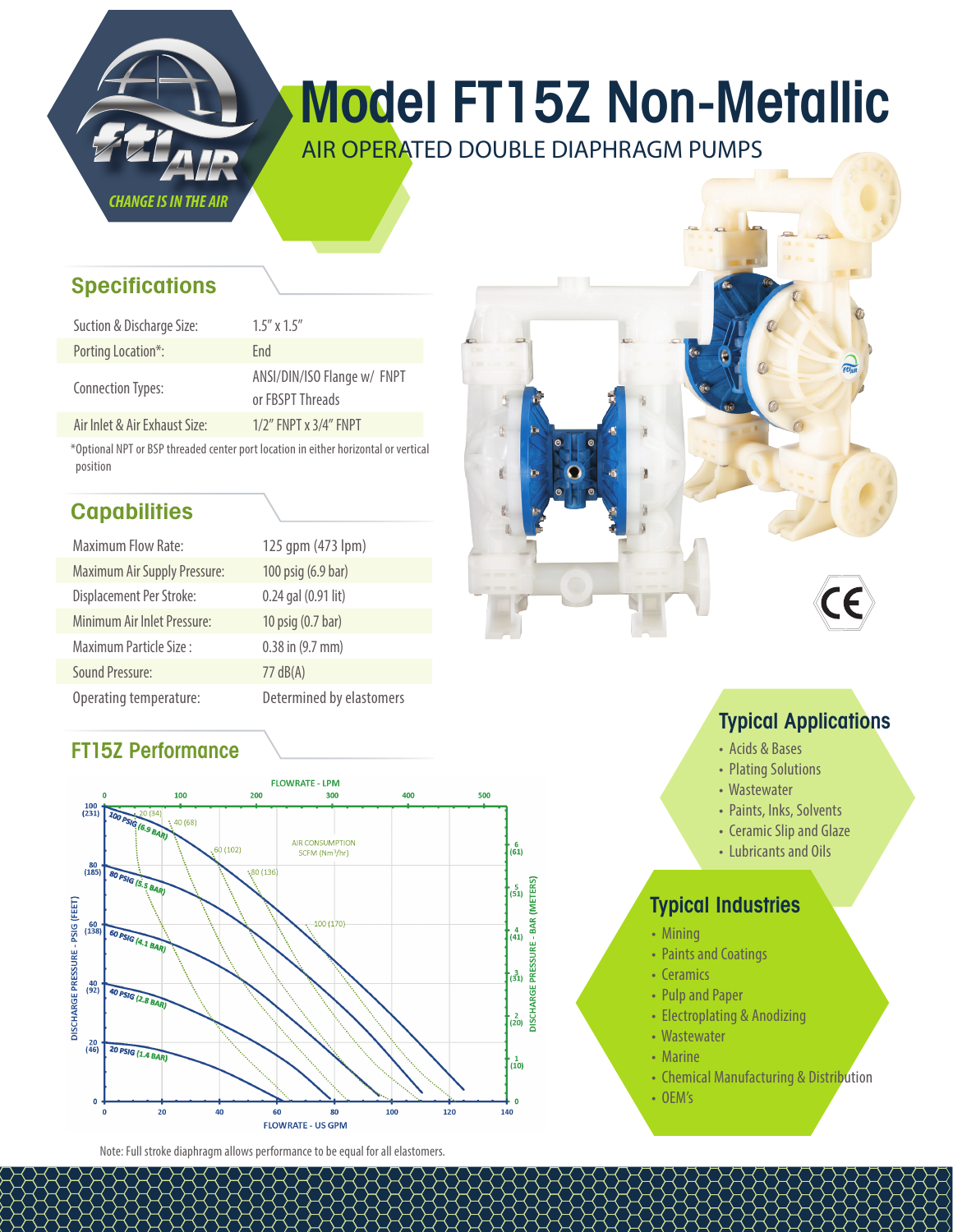

# Model FT15Z Non-Metallic

AIR OPERATED DOUBLE DIAPHRAGM PUMPS

### **Specifications**

| Suction & Discharge Size:     | $1.5''$ x $1.5''$                               |
|-------------------------------|-------------------------------------------------|
| Porting Location*:            | Fnd                                             |
| <b>Connection Types:</b>      | ANSI/DIN/ISO Flange w/ FNPT<br>or FBSPT Threads |
| Air Inlet & Air Exhaust Size: | $1/2$ " FNPT x $3/4$ " FNPT                     |

\*Optional NPT or BSP threaded center port location in either horizontal or vertical position

## **Capabilities**

| <b>Maximum Flow Rate:</b>           | 125 qpm (473 lpm)        |
|-------------------------------------|--------------------------|
| <b>Maximum Air Supply Pressure:</b> | 100 psig (6.9 bar)       |
| Displacement Per Stroke:            | 0.24 gal (0.91 lit)      |
| Minimum Air Inlet Pressure:         | 10 psig (0.7 bar)        |
| Maximum Particle Size:              | 0.38 in (9.7 mm)         |
| Sound Pressure:                     | $77 \text{ dB}(A)$       |
| Operating temperature:              | Determined by elastomers |

#### FT15Z Performance



Note: Full stroke diaphragm allows performance to be equal for all elastomers.





#### Typical Applications

- Acids & Bases
- Plating Solutions
- Wastewater
- Paints, Inks, Solvents
- Ceramic Slip and Glaze
- Lubricants and Oils

#### Typical Industries

- Mining
- Paints and Coatings
- Ceramics
- Pulp and Paper
- Electroplating & Anodizing
- Wastewater
- Marine
- Chemical Manufacturing & Distribution
- OEM's